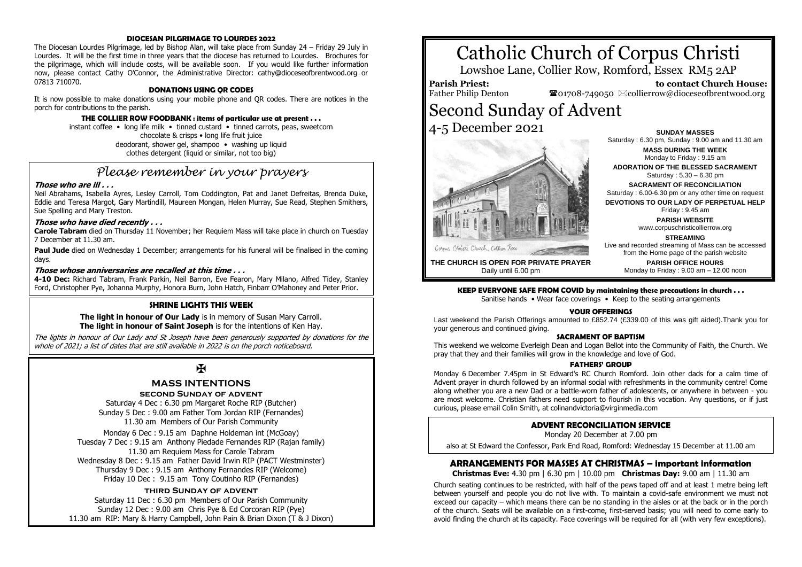#### **DIOCESAN PILGRIMAGE TO LOURDES 2022**

The Diocesan Lourdes Pilgrimage, led by Bishop Alan, will take place from Sunday 24 – Friday 29 July in Lourdes. It will be the first time in three years that the diocese has returned to Lourdes. Brochures for the pilgrimage, which will include costs, will be available soon. If you would like further information now, please contact Cathy O'Connor, the Administrative Director: cathy@dioceseofbrentwood.org or 07813 710070.

#### **DONATIONS USING QR CODES**

It is now possible to make donations using your mobile phone and QR codes. There are notices in the porch for contributions to the parish.

#### **THE COLLIER ROW FOODBANK : items of particular use at present . . .**

instant coffee • long life milk • tinned custard • tinned carrots, peas, sweetcorn chocolate & crisps • long life fruit juice deodorant, shower gel, shampoo • washing up liquid clothes detergent (liquid or similar, not too big)

## *Please remember in your prayers*

#### **Those who are ill . . .**

Neil Abrahams, Isabella Ayres, Lesley Carroll, Tom Coddington, Pat and Janet Defreitas, Brenda Duke, Eddie and Teresa Margot, Gary Martindill, Maureen Mongan, Helen Murray, Sue Read, Stephen Smithers, Sue Spelling and Mary Treston.

#### **Those who have died recently . . .**

**Carole Tabram** died on Thursday 11 November; her Requiem Mass will take place in church on Tuesday 7 December at 11.30 am.

**Paul Jude** died on Wednesday 1 December; arrangements for his funeral will be finalised in the coming days.

#### **Those whose anniversaries are recalled at this time . . .**

**4-10 Dec:** Richard Tabram, Frank Parkin, Neil Barron, Eve Fearon, Mary Milano, Alfred Tidey, Stanley Ford, Christopher Pye, Johanna Murphy, Honora Burn, John Hatch, Finbarr O'Mahoney and Peter Prior.

#### **SHRINE LIGHTS THIS WEEK**

**The light in honour of Our Lady** is in memory of Susan Mary Carroll. **The light in honour of Saint Joseph** is for the intentions of Ken Hay.

The lights in honour of Our Lady and St Joseph have been generously supported by donations for the whole of 2021; a list of dates that are still available in 2022 is on the porch noticeboard.

## $\mathbf K$

#### **MASS INTENTIONS**

**second Sunday of advent**

Saturday 4 Dec : 6.30 pm Margaret Roche RIP (Butcher) Sunday 5 Dec : 9.00 am Father Tom Jordan RIP (Fernandes) 11.30 am Members of Our Parish Community

Monday 6 Dec : 9.15 am Daphne Holdeman int (McGoay) Tuesday 7 Dec : 9.15 am Anthony Piedade Fernandes RIP (Rajan family) 11.30 am Requiem Mass for Carole Tabram Wednesday 8 Dec : 9.15 am Father David Irwin RIP (PACT Westminster) Thursday 9 Dec : 9.15 am Anthony Fernandes RIP (Welcome) Friday 10 Dec : 9.15 am Tony Coutinho RIP (Fernandes)

#### **third Sunday of advent**

Saturday 11 Dec : 6.30 pm Members of Our Parish Community Sunday 12 Dec : 9.00 am Chris Pye & Ed Corcoran RIP (Pye) 11.30 am RIP: Mary & Harry Campbell, John Pain & Brian Dixon (T & J Dixon)

# Catholic Church of Corpus Christi

Lowshoe Lane, Collier Row, Romford, Essex RM5 2AP

**Parish Priest:** Father Philip Denton

 **to contact Church House:**  $\bullet$ 01708-749050  $\boxtimes$ collierrow@dioceseofbrentwood.org

## Second Sunday of Advent 4-5 December 2021



Saturday : 6.30 pm, Sunday : 9.00 am and 11.30 am **MASS DURING THE WEEK** Monday to Friday : 9.15 am **ADORATION OF THE BLESSED SACRAMENT** Saturday : 5.30 – 6.30 pm **SACRAMENT OF RECONCILIATION** Saturday : 6.00-6.30 pm or any other time on request **DEVOTIONS TO OUR LADY OF PERPETUAL HELP**

**SUNDAY MASSES**

Friday : 9.45 am

**PARISH WEBSITE** www.corpuschristicollierrow.org

#### **STREAMING**

Live and recorded streaming of Mass can be accessed from the Home page of the parish website **PARISH OFFICE HOURS** Monday to Friday : 9.00 am – 12.00 noon

**THE CHURCH IS OPEN FOR PRIVATE PRAYER** Daily until 6.00 pm

**KEEP EVERYONE SAFE FROM COVID by maintaining these precautions in church . . .**

Sanitise hands • Wear face coverings • Keep to the seating arrangements

#### **YOUR OFFERINGS**

Last weekend the Parish Offerings amounted to £852.74 (£339.00 of this was gift aided).Thank you for your generous and continued giving.

#### **SACRAMENT OF BAPTISM**

This weekend we welcome Everleigh Dean and Logan Bellot into the Community of Faith, the Church. We pray that they and their families will grow in the knowledge and love of God.

#### **FATHERS' GROUP**

Monday 6 December 7.45pm in St Edward's RC Church Romford. Join other dads for a calm time of Advent prayer in church followed by an informal social with refreshments in the community centre! Come along whether you are a new Dad or a battle-worn father of adolescents, or anywhere in between - you are most welcome. Christian fathers need support to flourish in this vocation. Any questions, or if just curious, please email Colin Smith, at colinandvictoria@virginmedia.com

#### **ADVENT RECONCILIATION SERVICE**

Monday 20 December at 7.00 pm

also at St Edward the Confessor, Park End Road, Romford: Wednesday 15 December at 11.00 am

#### **ARRANGEMENTS FOR MASSES AT CHRISTMAS – important information**

**Christmas Eve:** 4.30 pm | 6.30 pm | 10.00 pm **Christmas Day:** 9.00 am | 11.30 am

Church seating continues to be restricted, with half of the pews taped off and at least 1 metre being left between yourself and people you do not live with. To maintain a covid-safe environment we must not exceed our capacity – which means there can be no standing in the aisles or at the back or in the porch of the church. Seats will be available on a first-come, first-served basis; you will need to come early to avoid finding the church at its capacity. Face coverings will be required for all (with very few exceptions).